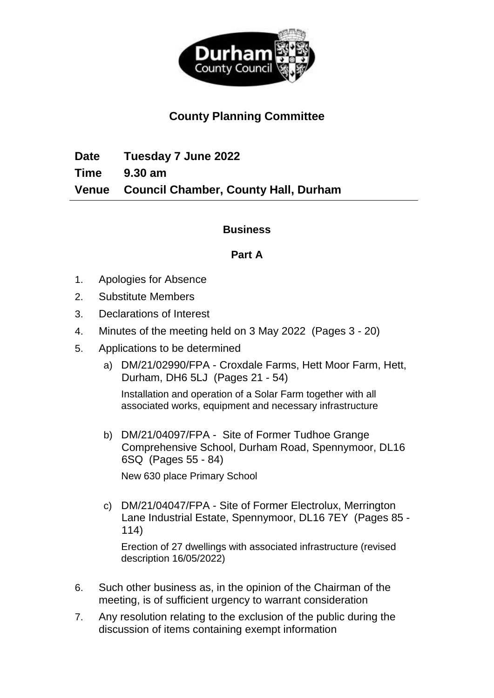

# **County Planning Committee**

**Date Tuesday 7 June 2022 Time 9.30 am Venue Council Chamber, County Hall, Durham**

## **Business**

## **Part A**

- 1. Apologies for Absence
- 2. Substitute Members
- 3. Declarations of Interest
- 4. Minutes of the meeting held on 3 May 2022(Pages 3 20)
- 5. Applications to be determined
	- a) DM/21/02990/FPA Croxdale Farms, Hett Moor Farm, Hett, Durham, DH6 5LJ(Pages 21 - 54)

Installation and operation of a Solar Farm together with all associated works, equipment and necessary infrastructure

b) DM/21/04097/FPA - Site of Former Tudhoe Grange Comprehensive School, Durham Road, Spennymoor, DL16 6SQ(Pages 55 - 84)

New 630 place Primary School

c) DM/21/04047/FPA - Site of Former Electrolux, Merrington Lane Industrial Estate, Spennymoor, DL16 7EY(Pages 85 - 114)

Erection of 27 dwellings with associated infrastructure (revised description 16/05/2022)

- 6. Such other business as, in the opinion of the Chairman of the meeting, is of sufficient urgency to warrant consideration
- 7. Any resolution relating to the exclusion of the public during the discussion of items containing exempt information